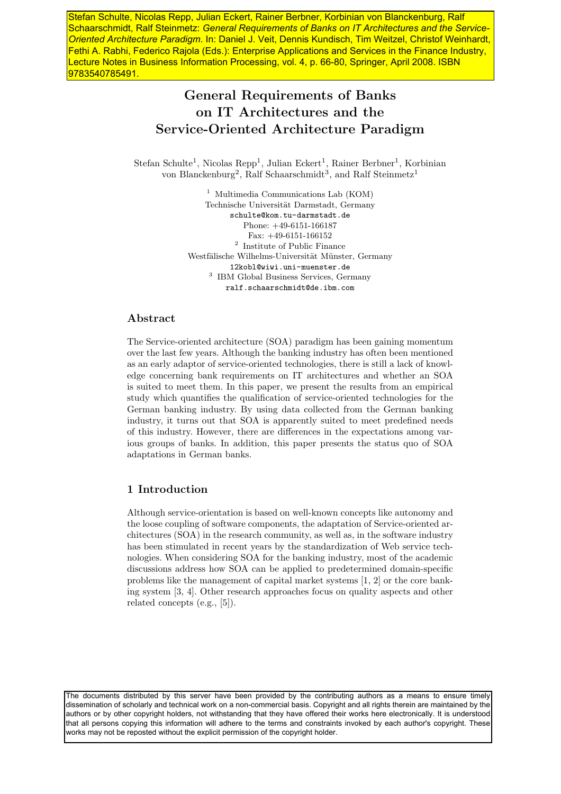Stefan Schulte, Nicolas Repp, Julian Eckert, Rainer Berbner, Korbinian von Blanckenburg, Ralf Schaarschmidt, Ralf Steinmetz: *General Requirements of Banks on IT Architectures and the Service-Oriented Architecture Paradigm*. In: Daniel J. Veit, Dennis Kundisch, Tim Weitzel, Christof Weinhardt, Fethi A. Rabhi, Federico Rajola (Eds.): Enterprise Applications and Services in the Finance Industry, Lecture Notes in Business Information Processing, vol. 4, p. 66-80, Springer, April 2008. ISBN 9783540785491.

# General Requirements of Banks on IT Architectures and the Service-Oriented Architecture Paradigm

 $Stefan Schulte<sup>1</sup>, Nicolas Repp<sup>1</sup>, Julian Eckert<sup>1</sup>, Rainer Berbner<sup>1</sup>, Korbinian$ von Blanckenburg<sup>2</sup>, Ralf Schaarschmidt<sup>3</sup>, and Ralf Steinmetz<sup>1</sup>

> <sup>1</sup> Multimedia Communications Lab (KOM) Technische Universität Darmstadt, Germany schulte@kom.tu-darmstadt.de Phone: +49-6151-166187 Fax: +49-6151-166152 2 Institute of Public Finance Westfälische Wilhelms-Universität Münster, Germany 12kobl@wiwi.uni-muenster.de 3 IBM Global Business Services, Germany ralf.schaarschmidt@de.ibm.com

# Abstract

The Service-oriented architecture (SOA) paradigm has been gaining momentum over the last few years. Although the banking industry has often been mentioned as an early adaptor of service-oriented technologies, there is still a lack of knowledge concerning bank requirements on IT architectures and whether an SOA is suited to meet them. In this paper, we present the results from an empirical study which quantifies the qualification of service-oriented technologies for the German banking industry. By using data collected from the German banking industry, it turns out that SOA is apparently suited to meet predefined needs of this industry. However, there are differences in the expectations among various groups of banks. In addition, this paper presents the status quo of SOA adaptations in German banks.

# 1 Introduction

Although service-orientation is based on well-known concepts like autonomy and the loose coupling of software components, the adaptation of Service-oriented architectures (SOA) in the research community, as well as, in the software industry has been stimulated in recent years by the standardization of Web service technologies. When considering SOA for the banking industry, most of the academic discussions address how SOA can be applied to predetermined domain-specific problems like the management of capital market systems [1, 2] or the core banking system [3, 4]. Other research approaches focus on quality aspects and other related concepts (e.g., [5]).

The documents distributed by this server have been provided by the contributing authors as a means to ensure timely dissemination of scholarly and technical work on a non-commercial basis. Copyright and all rights therein are maintained by the authors or by other copyright holders, not withstanding that they have offered their works here electronically. It is understood that all persons copying this information will adhere to the terms and constraints invoked by each author's copyright. These works may not be reposted without the explicit permission of the copyright holder.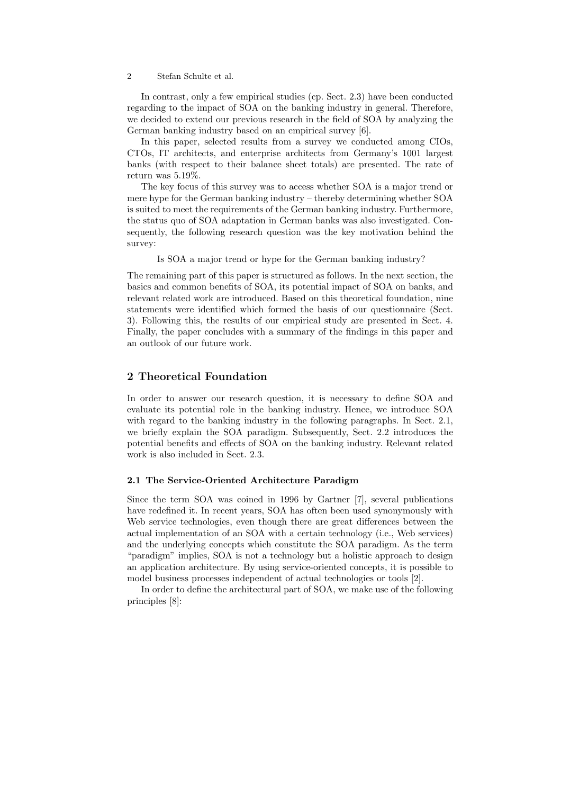In contrast, only a few empirical studies (cp. Sect. 2.3) have been conducted regarding to the impact of SOA on the banking industry in general. Therefore, we decided to extend our previous research in the field of SOA by analyzing the German banking industry based on an empirical survey [6].

In this paper, selected results from a survey we conducted among CIOs, CTOs, IT architects, and enterprise architects from Germany's 1001 largest banks (with respect to their balance sheet totals) are presented. The rate of return was 5.19%.

The key focus of this survey was to access whether SOA is a major trend or mere hype for the German banking industry – thereby determining whether SOA is suited to meet the requirements of the German banking industry. Furthermore, the status quo of SOA adaptation in German banks was also investigated. Consequently, the following research question was the key motivation behind the survey:

Is SOA a major trend or hype for the German banking industry?

The remaining part of this paper is structured as follows. In the next section, the basics and common benefits of SOA, its potential impact of SOA on banks, and relevant related work are introduced. Based on this theoretical foundation, nine statements were identified which formed the basis of our questionnaire (Sect. 3). Following this, the results of our empirical study are presented in Sect. 4. Finally, the paper concludes with a summary of the findings in this paper and an outlook of our future work.

## 2 Theoretical Foundation

In order to answer our research question, it is necessary to define SOA and evaluate its potential role in the banking industry. Hence, we introduce SOA with regard to the banking industry in the following paragraphs. In Sect. 2.1, we briefly explain the SOA paradigm. Subsequently, Sect. 2.2 introduces the potential benefits and effects of SOA on the banking industry. Relevant related work is also included in Sect. 2.3.

#### 2.1 The Service-Oriented Architecture Paradigm

Since the term SOA was coined in 1996 by Gartner [7], several publications have redefined it. In recent years, SOA has often been used synonymously with Web service technologies, even though there are great differences between the actual implementation of an SOA with a certain technology (i.e., Web services) and the underlying concepts which constitute the SOA paradigm. As the term "paradigm" implies, SOA is not a technology but a holistic approach to design an application architecture. By using service-oriented concepts, it is possible to model business processes independent of actual technologies or tools [2].

In order to define the architectural part of SOA, we make use of the following principles [8]: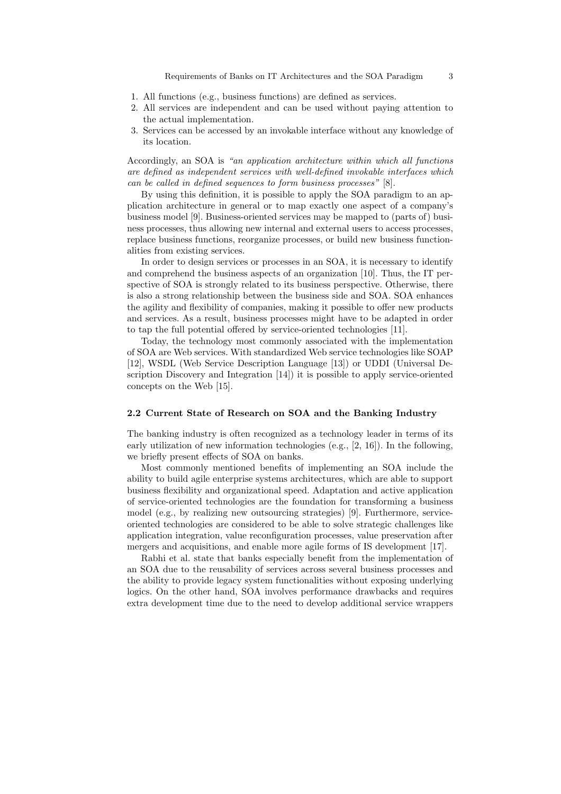- 1. All functions (e.g., business functions) are defined as services.
- 2. All services are independent and can be used without paying attention to the actual implementation.
- 3. Services can be accessed by an invokable interface without any knowledge of its location.

Accordingly, an SOA is "an application architecture within which all functions are defined as independent services with well-defined invokable interfaces which can be called in defined sequences to form business processes" [8].

By using this definition, it is possible to apply the SOA paradigm to an application architecture in general or to map exactly one aspect of a company's business model [9]. Business-oriented services may be mapped to (parts of) business processes, thus allowing new internal and external users to access processes, replace business functions, reorganize processes, or build new business functionalities from existing services.

In order to design services or processes in an SOA, it is necessary to identify and comprehend the business aspects of an organization [10]. Thus, the IT perspective of SOA is strongly related to its business perspective. Otherwise, there is also a strong relationship between the business side and SOA. SOA enhances the agility and flexibility of companies, making it possible to offer new products and services. As a result, business processes might have to be adapted in order to tap the full potential offered by service-oriented technologies [11].

Today, the technology most commonly associated with the implementation of SOA are Web services. With standardized Web service technologies like SOAP [12], WSDL (Web Service Description Language [13]) or UDDI (Universal Description Discovery and Integration [14]) it is possible to apply service-oriented concepts on the Web [15].

#### 2.2 Current State of Research on SOA and the Banking Industry

The banking industry is often recognized as a technology leader in terms of its early utilization of new information technologies (e.g., [2, 16]). In the following, we briefly present effects of SOA on banks.

Most commonly mentioned benefits of implementing an SOA include the ability to build agile enterprise systems architectures, which are able to support business flexibility and organizational speed. Adaptation and active application of service-oriented technologies are the foundation for transforming a business model (e.g., by realizing new outsourcing strategies) [9]. Furthermore, serviceoriented technologies are considered to be able to solve strategic challenges like application integration, value reconfiguration processes, value preservation after mergers and acquisitions, and enable more agile forms of IS development [17].

Rabhi et al. state that banks especially benefit from the implementation of an SOA due to the reusability of services across several business processes and the ability to provide legacy system functionalities without exposing underlying logics. On the other hand, SOA involves performance drawbacks and requires extra development time due to the need to develop additional service wrappers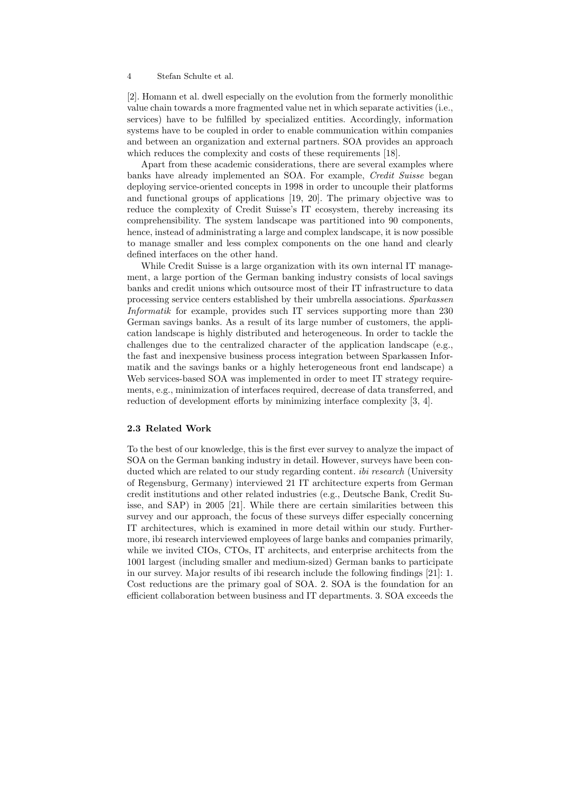[2]. Homann et al. dwell especially on the evolution from the formerly monolithic value chain towards a more fragmented value net in which separate activities (i.e., services) have to be fulfilled by specialized entities. Accordingly, information systems have to be coupled in order to enable communication within companies and between an organization and external partners. SOA provides an approach which reduces the complexity and costs of these requirements [18].

Apart from these academic considerations, there are several examples where banks have already implemented an SOA. For example, Credit Suisse began deploying service-oriented concepts in 1998 in order to uncouple their platforms and functional groups of applications [19, 20]. The primary objective was to reduce the complexity of Credit Suisse's IT ecosystem, thereby increasing its comprehensibility. The system landscape was partitioned into 90 components, hence, instead of administrating a large and complex landscape, it is now possible to manage smaller and less complex components on the one hand and clearly defined interfaces on the other hand.

While Credit Suisse is a large organization with its own internal IT management, a large portion of the German banking industry consists of local savings banks and credit unions which outsource most of their IT infrastructure to data processing service centers established by their umbrella associations. Sparkassen Informatik for example, provides such IT services supporting more than 230 German savings banks. As a result of its large number of customers, the application landscape is highly distributed and heterogeneous. In order to tackle the challenges due to the centralized character of the application landscape (e.g., the fast and inexpensive business process integration between Sparkassen Informatik and the savings banks or a highly heterogeneous front end landscape) a Web services-based SOA was implemented in order to meet IT strategy requirements, e.g., minimization of interfaces required, decrease of data transferred, and reduction of development efforts by minimizing interface complexity [3, 4].

#### 2.3 Related Work

To the best of our knowledge, this is the first ever survey to analyze the impact of SOA on the German banking industry in detail. However, surveys have been conducted which are related to our study regarding content. *ibi research* (University of Regensburg, Germany) interviewed 21 IT architecture experts from German credit institutions and other related industries (e.g., Deutsche Bank, Credit Suisse, and SAP) in 2005 [21]. While there are certain similarities between this survey and our approach, the focus of these surveys differ especially concerning IT architectures, which is examined in more detail within our study. Furthermore, ibi research interviewed employees of large banks and companies primarily, while we invited CIOs, CTOs, IT architects, and enterprise architects from the 1001 largest (including smaller and medium-sized) German banks to participate in our survey. Major results of ibi research include the following findings [21]: 1. Cost reductions are the primary goal of SOA. 2. SOA is the foundation for an efficient collaboration between business and IT departments. 3. SOA exceeds the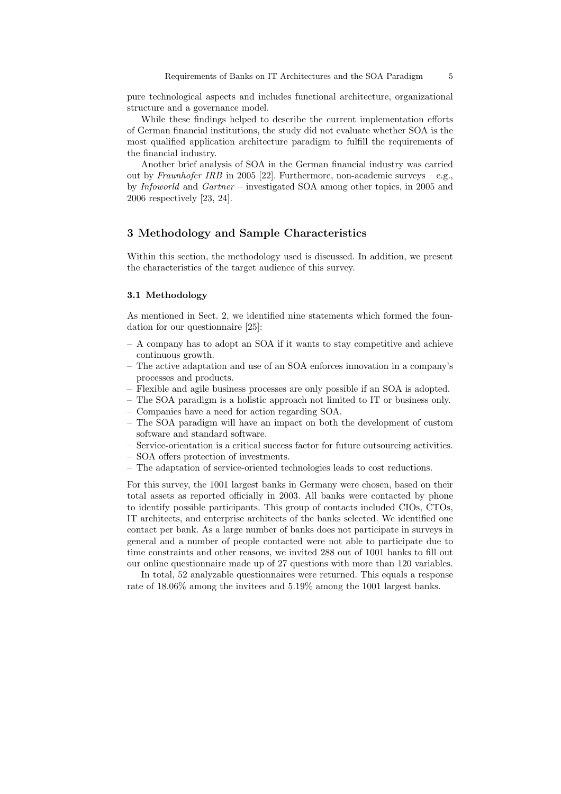pure technological aspects and includes functional architecture, organizational structure and a governance model.

While these findings helped to describe the current implementation efforts of German financial institutions, the study did not evaluate whether SOA is the most qualified application architecture paradigm to fulfill the requirements of the financial industry.

Another brief analysis of SOA in the German financial industry was carried out by Fraunhofer IRB in 2005 [22]. Furthermore, non-academic surveys – e.g., by Infoworld and Gartner – investigated SOA among other topics, in 2005 and 2006 respectively [23, 24].

## 3 Methodology and Sample Characteristics

Within this section, the methodology used is discussed. In addition, we present the characteristics of the target audience of this survey.

#### 3.1 Methodology

As mentioned in Sect. 2, we identified nine statements which formed the foundation for our questionnaire [25]:

- A company has to adopt an SOA if it wants to stay competitive and achieve continuous growth.
- The active adaptation and use of an SOA enforces innovation in a company's processes and products.
- Flexible and agile business processes are only possible if an SOA is adopted.
- The SOA paradigm is a holistic approach not limited to IT or business only.
- Companies have a need for action regarding SOA.
- The SOA paradigm will have an impact on both the development of custom software and standard software.
- Service-orientation is a critical success factor for future outsourcing activities.
- SOA offers protection of investments.
- The adaptation of service-oriented technologies leads to cost reductions.

For this survey, the 1001 largest banks in Germany were chosen, based on their total assets as reported officially in 2003. All banks were contacted by phone to identify possible participants. This group of contacts included CIOs, CTOs, IT architects, and enterprise architects of the banks selected. We identified one contact per bank. As a large number of banks does not participate in surveys in general and a number of people contacted were not able to participate due to time constraints and other reasons, we invited 288 out of 1001 banks to fill out our online questionnaire made up of 27 questions with more than 120 variables.

In total, 52 analyzable questionnaires were returned. This equals a response rate of 18.06% among the invitees and 5.19% among the 1001 largest banks.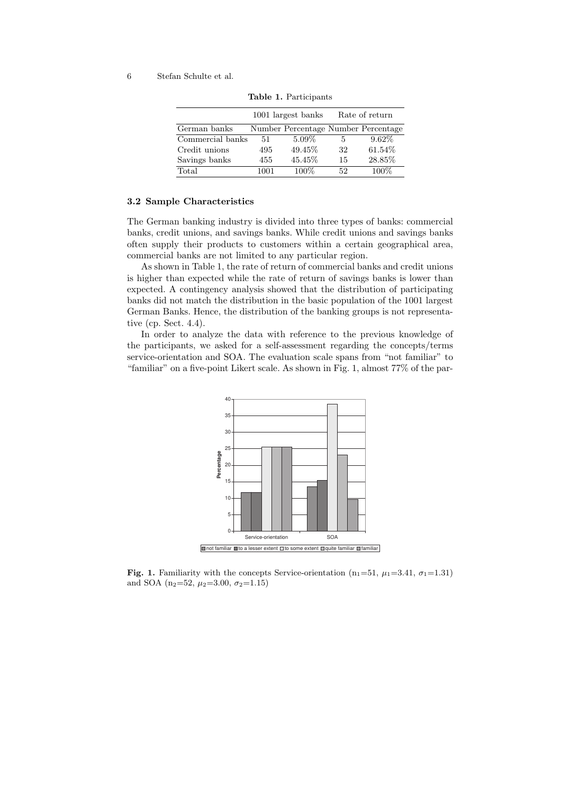|                  |      | 1001 largest banks |    | Rate of return                      |
|------------------|------|--------------------|----|-------------------------------------|
| German banks     |      |                    |    | Number Percentage Number Percentage |
| Commercial banks | 51   | 5.09%              | 5  | $9.62\%$                            |
| Credit unions    | 495  | 49.45\%            | 32 | 61.54%                              |
| Savings banks    | 455  | 45.45\%            | 15 | 28.85%                              |
| Total            | 1001 | 100\%              | 52 | $100\%$                             |

Table 1. Participants

#### 3.2 Sample Characteristics

The German banking industry is divided into three types of banks: commercial banks, credit unions, and savings banks. While credit unions and savings banks often supply their products to customers within a certain geographical area, commercial banks are not limited to any particular region.

As shown in Table 1, the rate of return of commercial banks and credit unions is higher than expected while the rate of return of savings banks is lower than expected. A contingency analysis showed that the distribution of participating banks did not match the distribution in the basic population of the 1001 largest German Banks. Hence, the distribution of the banking groups is not representative (cp. Sect. 4.4).

In order to analyze the data with reference to the previous knowledge of the participants, we asked for a self-assessment regarding the concepts/terms service-orientation and SOA. The evaluation scale spans from "not familiar" to "familiar" on a five-point Likert scale. As shown in Fig. 1, almost 77% of the par-



Fig. 1. Familiarity with the concepts Service-orientation  $(n_1=51, \mu_1=3.41, \sigma_1=1.31)$ and SOA ( $n_2=52$ ,  $\mu_2=3.00$ ,  $\sigma_2=1.15$ )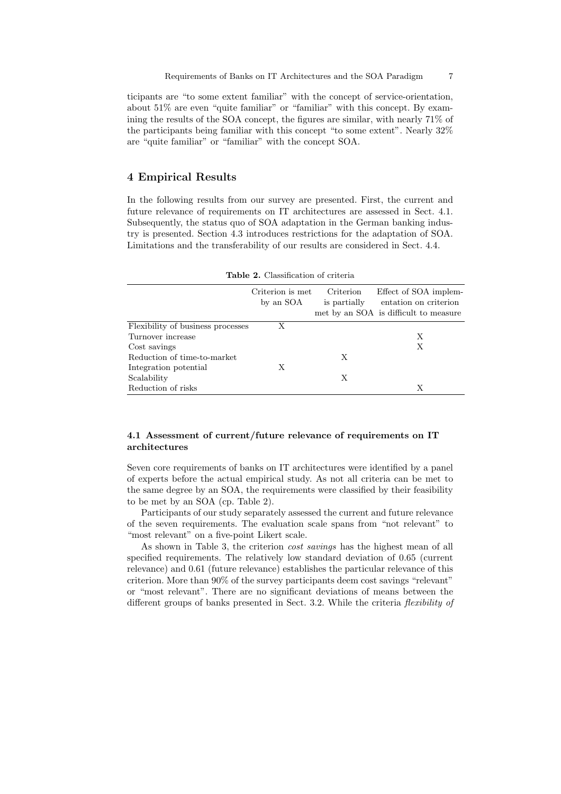ticipants are "to some extent familiar" with the concept of service-orientation, about 51% are even "quite familiar" or "familiar" with this concept. By examining the results of the SOA concept, the figures are similar, with nearly 71% of the participants being familiar with this concept "to some extent". Nearly 32% are "quite familiar" or "familiar" with the concept SOA.

## 4 Empirical Results

In the following results from our survey are presented. First, the current and future relevance of requirements on IT architectures are assessed in Sect. 4.1. Subsequently, the status quo of SOA adaptation in the German banking industry is presented. Section 4.3 introduces restrictions for the adaptation of SOA. Limitations and the transferability of our results are considered in Sect. 4.4.

| <b>Table 2.</b> Classification of criteria |                                |                           |                                                                                         |  |  |  |
|--------------------------------------------|--------------------------------|---------------------------|-----------------------------------------------------------------------------------------|--|--|--|
|                                            | Criterion is met.<br>by an SOA | Criterion<br>is partially | Effect of SOA implem-<br>entation on criterion<br>met by an SOA is difficult to measure |  |  |  |
| Flexibility of business processes          | X                              |                           |                                                                                         |  |  |  |
| Turnover increase                          |                                |                           | Х                                                                                       |  |  |  |
| Cost savings                               |                                |                           | Х                                                                                       |  |  |  |
| Reduction of time-to-market                |                                | Х                         |                                                                                         |  |  |  |
| Integration potential                      | Х                              |                           |                                                                                         |  |  |  |
| Scalability                                |                                | Х                         |                                                                                         |  |  |  |
| Reduction of risks                         |                                |                           | Х                                                                                       |  |  |  |

## 4.1 Assessment of current/future relevance of requirements on IT architectures

Seven core requirements of banks on IT architectures were identified by a panel of experts before the actual empirical study. As not all criteria can be met to the same degree by an SOA, the requirements were classified by their feasibility to be met by an SOA (cp. Table 2).

Participants of our study separately assessed the current and future relevance of the seven requirements. The evaluation scale spans from "not relevant" to "most relevant" on a five-point Likert scale.

As shown in Table 3, the criterion cost savings has the highest mean of all specified requirements. The relatively low standard deviation of 0.65 (current relevance) and 0.61 (future relevance) establishes the particular relevance of this criterion. More than 90% of the survey participants deem cost savings "relevant" or "most relevant". There are no significant deviations of means between the different groups of banks presented in Sect. 3.2. While the criteria *flexibility of*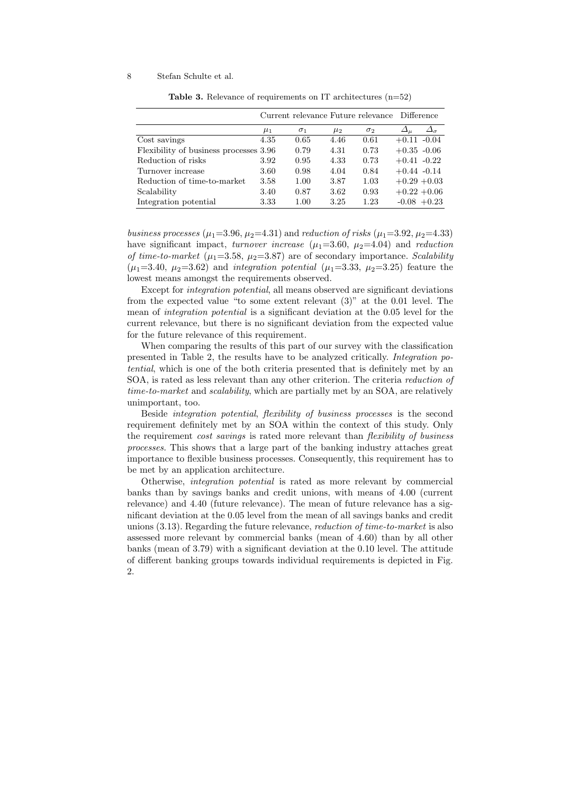|                                        |         | Current relevance Future relevance Difference |         |            |                |                   |
|----------------------------------------|---------|-----------------------------------------------|---------|------------|----------------|-------------------|
|                                        | $\mu_1$ | $\sigma_1$                                    | $\mu_2$ | $\sigma_2$ | $\Delta_{\mu}$ | $\Delta_{\sigma}$ |
| Cost savings                           | 4.35    | 0.65                                          | 4.46    | 0.61       | $+0.11 - 0.04$ |                   |
| Flexibility of business processes 3.96 |         | 0.79                                          | 4.31    | 0.73       | $+0.35 -0.06$  |                   |
| Reduction of risks                     | 3.92    | 0.95                                          | 4.33    | 0.73       | $+0.41 - 0.22$ |                   |
| Turnover increase                      | 3.60    | 0.98                                          | 4.04    | 0.84       | $+0.44 - 0.14$ |                   |
| Reduction of time-to-market            | 3.58    | 1.00                                          | 3.87    | 1.03       | $+0.29 + 0.03$ |                   |
| Scalability                            | 3.40    | 0.87                                          | 3.62    | 0.93       |                | $+0.22 + 0.06$    |
| Integration potential                  | 3.33    | 1.00                                          | 3.25    | 1.23       |                | $-0.08 + 0.23$    |

Table 3. Relevance of requirements on IT architectures (n=52)

business processes ( $\mu_1$ =3.96,  $\mu_2$ =4.31) and reduction of risks ( $\mu_1$ =3.92,  $\mu_2$ =4.33) have significant impact, turnover increase  $(\mu_1=3.60, \mu_2=4.04)$  and reduction of time-to-market ( $\mu_1$ =3.58,  $\mu_2$ =3.87) are of secondary importance. Scalability  $(\mu_1=3.40, \mu_2=3.62)$  and integration potential  $(\mu_1=3.33, \mu_2=3.25)$  feature the lowest means amongst the requirements observed.

Except for integration potential, all means observed are significant deviations from the expected value "to some extent relevant (3)" at the 0.01 level. The mean of integration potential is a significant deviation at the 0.05 level for the current relevance, but there is no significant deviation from the expected value for the future relevance of this requirement.

When comparing the results of this part of our survey with the classification presented in Table 2, the results have to be analyzed critically. Integration potential, which is one of the both criteria presented that is definitely met by an SOA, is rated as less relevant than any other criterion. The criteria reduction of time-to-market and scalability, which are partially met by an SOA, are relatively unimportant, too.

Beside integration potential, flexibility of business processes is the second requirement definitely met by an SOA within the context of this study. Only the requirement *cost savings* is rated more relevant than *flexibility of business* processes. This shows that a large part of the banking industry attaches great importance to flexible business processes. Consequently, this requirement has to be met by an application architecture.

Otherwise, integration potential is rated as more relevant by commercial banks than by savings banks and credit unions, with means of 4.00 (current relevance) and 4.40 (future relevance). The mean of future relevance has a significant deviation at the 0.05 level from the mean of all savings banks and credit unions  $(3.13)$ . Regarding the future relevance, *reduction of time-to-market* is also assessed more relevant by commercial banks (mean of 4.60) than by all other banks (mean of 3.79) with a significant deviation at the 0.10 level. The attitude of different banking groups towards individual requirements is depicted in Fig. 2.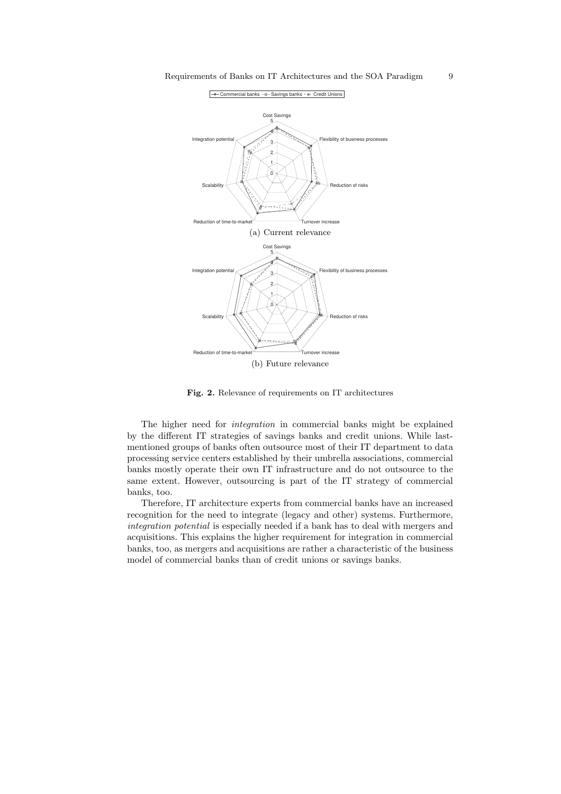

Fig. 2. Relevance of requirements on IT architectures

The higher need for integration in commercial banks might be explained by the different IT strategies of savings banks and credit unions. While lastmentioned groups of banks often outsource most of their IT department to data processing service centers established by their umbrella associations, commercial banks mostly operate their own IT infrastructure and do not outsource to the same extent. However, outsourcing is part of the IT strategy of commercial banks, too.

Therefore, IT architecture experts from commercial banks have an increased recognition for the need to integrate (legacy and other) systems. Furthermore, integration potential is especially needed if a bank has to deal with mergers and acquisitions. This explains the higher requirement for integration in commercial banks, too, as mergers and acquisitions are rather a characteristic of the business model of commercial banks than of credit unions or savings banks.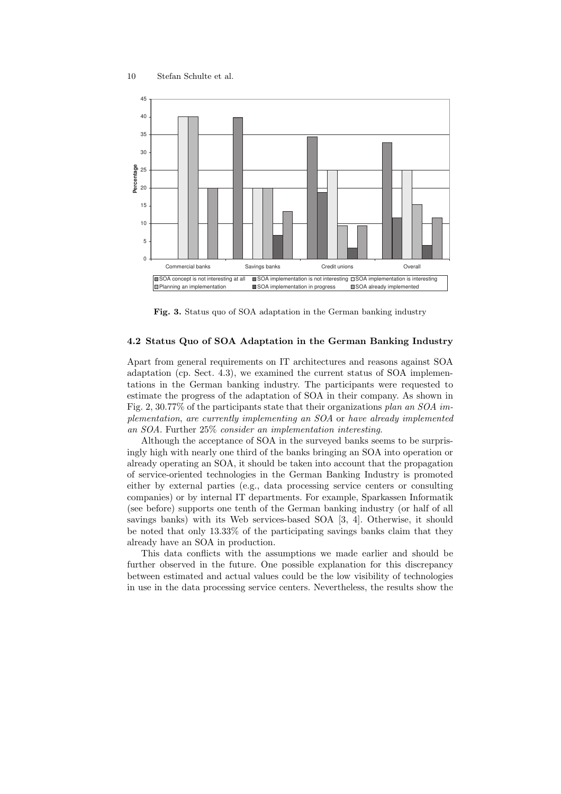

Fig. 3. Status quo of SOA adaptation in the German banking industry

### 4.2 Status Quo of SOA Adaptation in the German Banking Industry

Apart from general requirements on IT architectures and reasons against SOA adaptation (cp. Sect. 4.3), we examined the current status of SOA implementations in the German banking industry. The participants were requested to estimate the progress of the adaptation of SOA in their company. As shown in Fig. 2, 30.77% of the participants state that their organizations plan an SOA implementation, are currently implementing an SOA or have already implemented an SOA. Further 25% consider an implementation interesting.

Although the acceptance of SOA in the surveyed banks seems to be surprisingly high with nearly one third of the banks bringing an SOA into operation or already operating an SOA, it should be taken into account that the propagation of service-oriented technologies in the German Banking Industry is promoted either by external parties (e.g., data processing service centers or consulting companies) or by internal IT departments. For example, Sparkassen Informatik (see before) supports one tenth of the German banking industry (or half of all savings banks) with its Web services-based SOA [3, 4]. Otherwise, it should be noted that only 13.33% of the participating savings banks claim that they already have an SOA in production.

This data conflicts with the assumptions we made earlier and should be further observed in the future. One possible explanation for this discrepancy between estimated and actual values could be the low visibility of technologies in use in the data processing service centers. Nevertheless, the results show the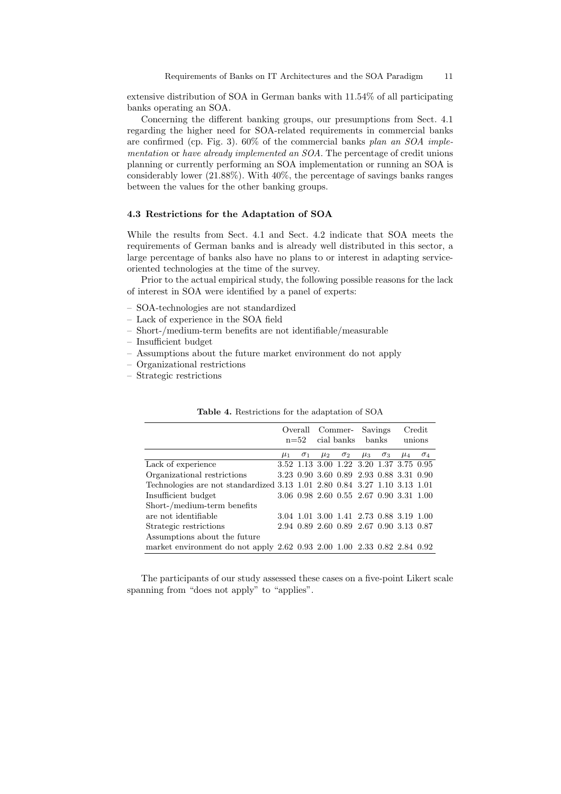extensive distribution of SOA in German banks with 11.54% of all participating banks operating an SOA.

Concerning the different banking groups, our presumptions from Sect. 4.1 regarding the higher need for SOA-related requirements in commercial banks are confirmed (cp. Fig. 3). 60% of the commercial banks plan an SOA implementation or have already implemented an SOA. The percentage of credit unions planning or currently performing an SOA implementation or running an SOA is considerably lower (21.88%). With 40%, the percentage of savings banks ranges between the values for the other banking groups.

#### 4.3 Restrictions for the Adaptation of SOA

While the results from Sect. 4.1 and Sect. 4.2 indicate that SOA meets the requirements of German banks and is already well distributed in this sector, a large percentage of banks also have no plans to or interest in adapting serviceoriented technologies at the time of the survey.

Prior to the actual empirical study, the following possible reasons for the lack of interest in SOA were identified by a panel of experts:

- SOA-technologies are not standardized
- Lack of experience in the SOA field
- Short-/medium-term benefits are not identifiable/measurable
- Insufficient budget
- Assumptions about the future market environment do not apply
- Organizational restrictions
- Strategic restrictions

|                                                                           | $n = 52$ |            | Overall Commer- Savings<br>cial banks – banks |                                         |                    |            | Credit<br>unions |            |
|---------------------------------------------------------------------------|----------|------------|-----------------------------------------------|-----------------------------------------|--------------------|------------|------------------|------------|
|                                                                           | $\mu_1$  | $\sigma_1$ | $\mu_2$                                       |                                         | $\sigma_2$ $\mu_3$ | $\sigma_3$ | $\mu_4$          | $\sigma_4$ |
| Lack of experience                                                        |          |            |                                               | 3.52 1.13 3.00 1.22 3.20 1.37 3.75 0.95 |                    |            |                  |            |
| Organizational restrictions                                               |          |            |                                               | 3.23 0.90 3.60 0.89 2.93 0.88 3.31 0.90 |                    |            |                  |            |
| Technologies are not standardized 3.13 1.01 2.80 0.84 3.27 1.10 3.13 1.01 |          |            |                                               |                                         |                    |            |                  |            |
| Insufficient budget                                                       |          |            |                                               | 3.06 0.98 2.60 0.55 2.67 0.90 3.31 1.00 |                    |            |                  |            |
| Short-/medium-term benefits                                               |          |            |                                               |                                         |                    |            |                  |            |
| are not identifiable                                                      |          |            |                                               | 3.04 1.01 3.00 1.41 2.73 0.88 3.19 1.00 |                    |            |                  |            |
| Strategic restrictions                                                    |          |            |                                               | 2.94 0.89 2.60 0.89 2.67 0.90 3.13 0.87 |                    |            |                  |            |
| Assumptions about the future                                              |          |            |                                               |                                         |                    |            |                  |            |
| market environment do not apply 2.62 0.93 2.00 1.00 2.33 0.82 2.84 0.92   |          |            |                                               |                                         |                    |            |                  |            |

Table 4. Restrictions for the adaptation of SOA

The participants of our study assessed these cases on a five-point Likert scale spanning from "does not apply" to "applies".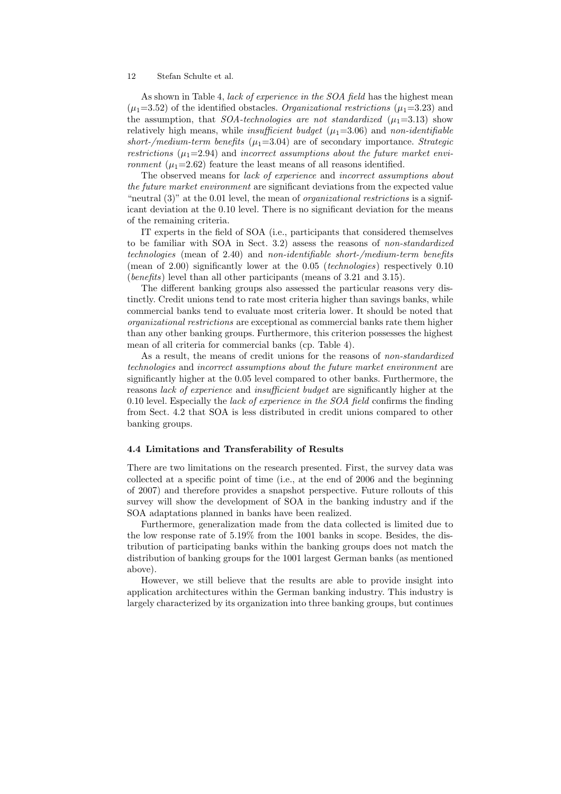As shown in Table 4, lack of experience in the SOA field has the highest mean  $(\mu_1=3.52)$  of the identified obstacles. Organizational restrictions  $(\mu_1=3.23)$  and the assumption, that SOA-technologies are not standardized  $(\mu_1=3.13)$  show relatively high means, while *insufficient budget*  $(\mu_1=3.06)$  and *non-identifiable* short-/medium-term benefits  $(\mu_1=3.04)$  are of secondary importance. Strategic restrictions ( $\mu_1$ =2.94) and incorrect assumptions about the future market environment ( $\mu_1$ =2.62) feature the least means of all reasons identified.

The observed means for lack of experience and incorrect assumptions about the future market environment are significant deviations from the expected value "neutral  $(3)$ " at the 0.01 level, the mean of *organizational restrictions* is a significant deviation at the 0.10 level. There is no significant deviation for the means of the remaining criteria.

IT experts in the field of SOA (i.e., participants that considered themselves to be familiar with SOA in Sect. 3.2) assess the reasons of non-standardized technologies (mean of 2.40) and non-identifiable short-/medium-term benefits (mean of 2.00) significantly lower at the 0.05 (technologies) respectively 0.10 (benefits) level than all other participants (means of 3.21 and 3.15).

The different banking groups also assessed the particular reasons very distinctly. Credit unions tend to rate most criteria higher than savings banks, while commercial banks tend to evaluate most criteria lower. It should be noted that organizational restrictions are exceptional as commercial banks rate them higher than any other banking groups. Furthermore, this criterion possesses the highest mean of all criteria for commercial banks (cp. Table 4).

As a result, the means of credit unions for the reasons of non-standardized technologies and incorrect assumptions about the future market environment are significantly higher at the 0.05 level compared to other banks. Furthermore, the reasons lack of experience and insufficient budget are significantly higher at the 0.10 level. Especially the *lack of experience in the SOA field* confirms the finding from Sect. 4.2 that SOA is less distributed in credit unions compared to other banking groups.

#### 4.4 Limitations and Transferability of Results

There are two limitations on the research presented. First, the survey data was collected at a specific point of time (i.e., at the end of 2006 and the beginning of 2007) and therefore provides a snapshot perspective. Future rollouts of this survey will show the development of SOA in the banking industry and if the SOA adaptations planned in banks have been realized.

Furthermore, generalization made from the data collected is limited due to the low response rate of 5.19% from the 1001 banks in scope. Besides, the distribution of participating banks within the banking groups does not match the distribution of banking groups for the 1001 largest German banks (as mentioned above).

However, we still believe that the results are able to provide insight into application architectures within the German banking industry. This industry is largely characterized by its organization into three banking groups, but continues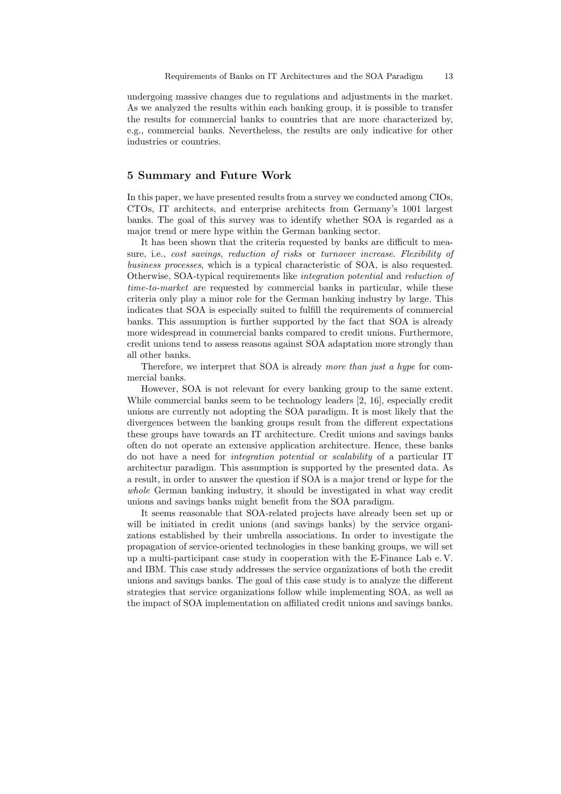undergoing massive changes due to regulations and adjustments in the market. As we analyzed the results within each banking group, it is possible to transfer the results for commercial banks to countries that are more characterized by, e.g., commercial banks. Nevertheless, the results are only indicative for other industries or countries.

## 5 Summary and Future Work

In this paper, we have presented results from a survey we conducted among CIOs, CTOs, IT architects, and enterprise architects from Germany's 1001 largest banks. The goal of this survey was to identify whether SOA is regarded as a major trend or mere hype within the German banking sector.

It has been shown that the criteria requested by banks are difficult to measure, i.e., cost savings, reduction of risks or turnover increase. Flexibility of business processes, which is a typical characteristic of SOA, is also requested. Otherwise, SOA-typical requirements like integration potential and reduction of time-to-market are requested by commercial banks in particular, while these criteria only play a minor role for the German banking industry by large. This indicates that SOA is especially suited to fulfill the requirements of commercial banks. This assumption is further supported by the fact that SOA is already more widespread in commercial banks compared to credit unions. Furthermore, credit unions tend to assess reasons against SOA adaptation more strongly than all other banks.

Therefore, we interpret that SOA is already more than just a hype for commercial banks.

However, SOA is not relevant for every banking group to the same extent. While commercial banks seem to be technology leaders [2, 16], especially credit unions are currently not adopting the SOA paradigm. It is most likely that the divergences between the banking groups result from the different expectations these groups have towards an IT architecture. Credit unions and savings banks often do not operate an extensive application architecture. Hence, these banks do not have a need for integration potential or scalability of a particular IT architectur paradigm. This assumption is supported by the presented data. As a result, in order to answer the question if SOA is a major trend or hype for the whole German banking industry, it should be investigated in what way credit unions and savings banks might benefit from the SOA paradigm.

It seems reasonable that SOA-related projects have already been set up or will be initiated in credit unions (and savings banks) by the service organizations established by their umbrella associations. In order to investigate the propagation of service-oriented technologies in these banking groups, we will set up a multi-participant case study in cooperation with the E-Finance Lab e. V. and IBM. This case study addresses the service organizations of both the credit unions and savings banks. The goal of this case study is to analyze the different strategies that service organizations follow while implementing SOA, as well as the impact of SOA implementation on affiliated credit unions and savings banks.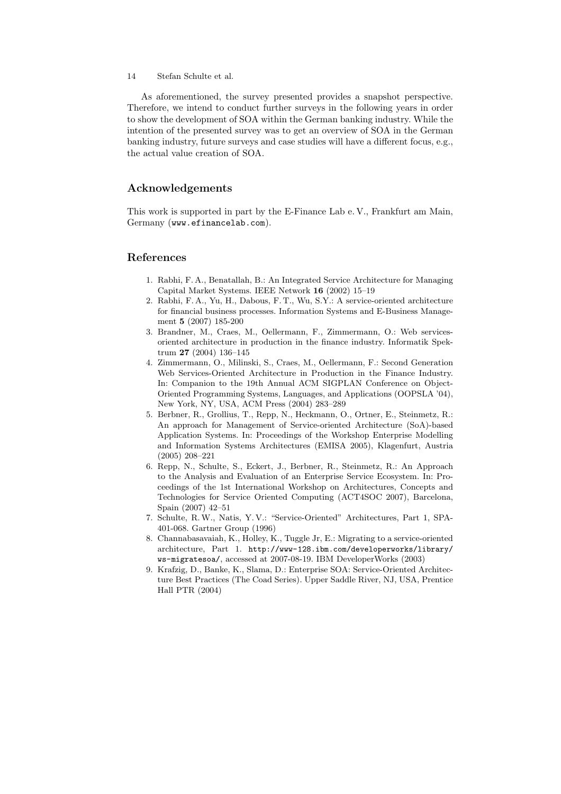As aforementioned, the survey presented provides a snapshot perspective. Therefore, we intend to conduct further surveys in the following years in order to show the development of SOA within the German banking industry. While the intention of the presented survey was to get an overview of SOA in the German banking industry, future surveys and case studies will have a different focus, e.g., the actual value creation of SOA.

## Acknowledgements

This work is supported in part by the E-Finance Lab e. V., Frankfurt am Main, Germany (www.efinancelab.com).

## References

- 1. Rabhi, F. A., Benatallah, B.: An Integrated Service Architecture for Managing Capital Market Systems. IEEE Network 16 (2002) 15–19
- 2. Rabhi, F. A., Yu, H., Dabous, F. T., Wu, S.Y.: A service-oriented architecture for financial business processes. Information Systems and E-Business Management 5 (2007) 185-200
- 3. Brandner, M., Craes, M., Oellermann, F., Zimmermann, O.: Web servicesoriented architecture in production in the finance industry. Informatik Spektrum 27 (2004) 136–145
- 4. Zimmermann, O., Milinski, S., Craes, M., Oellermann, F.: Second Generation Web Services-Oriented Architecture in Production in the Finance Industry. In: Companion to the 19th Annual ACM SIGPLAN Conference on Object-Oriented Programming Systems, Languages, and Applications (OOPSLA '04), New York, NY, USA, ACM Press (2004) 283–289
- 5. Berbner, R., Grollius, T., Repp, N., Heckmann, O., Ortner, E., Steinmetz, R.: An approach for Management of Service-oriented Architecture (SoA)-based Application Systems. In: Proceedings of the Workshop Enterprise Modelling and Information Systems Architectures (EMISA 2005), Klagenfurt, Austria (2005) 208–221
- 6. Repp, N., Schulte, S., Eckert, J., Berbner, R., Steinmetz, R.: An Approach to the Analysis and Evaluation of an Enterprise Service Ecosystem. In: Proceedings of the 1st International Workshop on Architectures, Concepts and Technologies for Service Oriented Computing (ACT4SOC 2007), Barcelona, Spain (2007) 42–51
- 7. Schulte, R.W., Natis, Y. V.: "Service-Oriented" Architectures, Part 1, SPA-401-068. Gartner Group (1996)
- 8. Channabasavaiah, K., Holley, K., Tuggle Jr, E.: Migrating to a service-oriented architecture, Part 1. http://www-128.ibm.com/developerworks/library/ ws-migratesoa/, accessed at 2007-08-19. IBM DeveloperWorks (2003)
- 9. Krafzig, D., Banke, K., Slama, D.: Enterprise SOA: Service-Oriented Architecture Best Practices (The Coad Series). Upper Saddle River, NJ, USA, Prentice Hall PTR (2004)